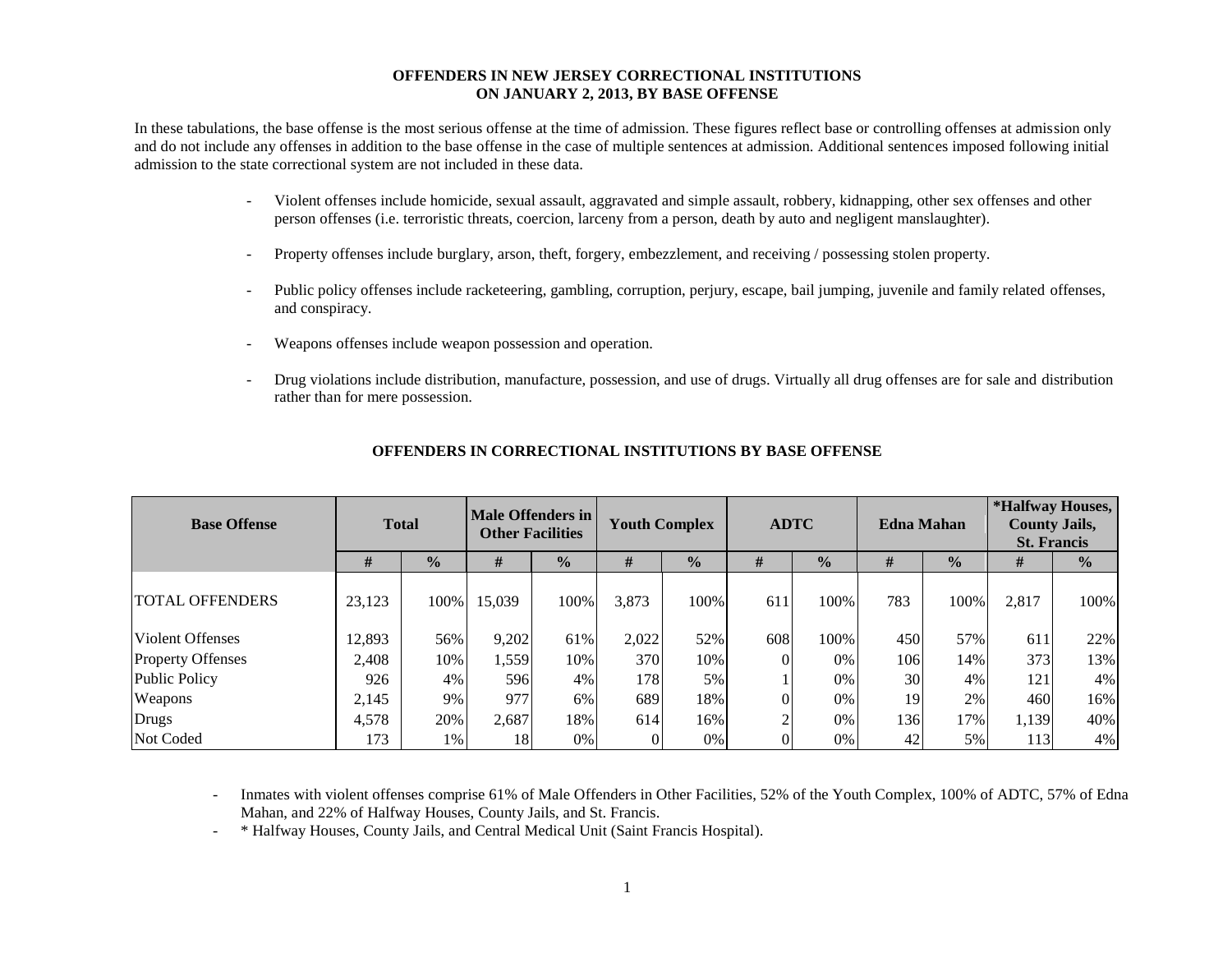#### **OFFENDERS IN NEW JERSEY CORRECTIONAL INSTITUTIONS ON JANUARY 2, 2013, BY BASE OFFENSE**

In these tabulations, the base offense is the most serious offense at the time of admission. These figures reflect base or controlling offenses at admission only and do not include any offenses in addition to the base offense in the case of multiple sentences at admission. Additional sentences imposed following initial admission to the state correctional system are not included in these data.

- Violent offenses include homicide, sexual assault, aggravated and simple assault, robbery, kidnapping, other sex offenses and other person offenses (i.e. terroristic threats, coercion, larceny from a person, death by auto and negligent manslaughter).
- Property offenses include burglary, arson, theft, forgery, embezzlement, and receiving / possessing stolen property.
- Public policy offenses include racketeering, gambling, corruption, perjury, escape, bail jumping, juvenile and family related offenses, and conspiracy.
- Weapons offenses include weapon possession and operation.
- Drug violations include distribution, manufacture, possession, and use of drugs. Virtually all drug offenses are for sale and distribution rather than for mere possession.

| <b>Base Offense</b>      | <b>Total</b> |               | Male Offenders in<br><b>Other Facilities</b> |               | <b>Youth Complex</b> |               | <b>ADTC</b> |               | <b>Edna Mahan</b> |               | *Halfway Houses,<br><b>County Jails,</b><br><b>St. Francis</b> |               |
|--------------------------|--------------|---------------|----------------------------------------------|---------------|----------------------|---------------|-------------|---------------|-------------------|---------------|----------------------------------------------------------------|---------------|
|                          | #            | $\frac{1}{2}$ | #                                            | $\frac{1}{2}$ | #                    | $\frac{1}{2}$ | #           | $\frac{1}{2}$ | #                 | $\frac{0}{0}$ | #                                                              | $\frac{0}{0}$ |
| <b>TOTAL OFFENDERS</b>   | 23,123       | 100%          | 15,039                                       | 100%          | 3,873                | 100%          | 611         | 100%          | 783               | 100%          | 2,817                                                          | 100%          |
| <b>Violent Offenses</b>  | 12,893       | 56%           | 9,202                                        | 61%           | 2,022                | 52%           | 608         | 100%          | 450               | 57%           | 611                                                            | 22%           |
| <b>Property Offenses</b> | 2,408        | 10%           | 1,559                                        | 10%           | 370                  | 10%           |             | 0%            | 106               | 14%           | 373                                                            | 13%           |
| Public Policy            | 926          | 4%            | 596                                          | 4%            | 178                  | 5%            |             | 0%            | 30                | $4\%$         | 121                                                            | 4%            |
| Weapons                  | 2,145        | 9%            | 977                                          | 6%            | 689                  | 18%           |             | 0%            | 19                | 2%            | 460                                                            | 16%           |
| Drugs                    | 4,578        | 20%           | 2,687                                        | 18%           | 614                  | 16%           |             | $0\%$         | 136               | 17%           | 1,139                                                          | 40%           |
| Not Coded                | 173          | 1%            | 18                                           | 0%            |                      | 0%            |             | 0%            | 42                | 5%            | 113                                                            | 4%            |

### **OFFENDERS IN CORRECTIONAL INSTITUTIONS BY BASE OFFENSE**

- Inmates with violent offenses comprise 61% of Male Offenders in Other Facilities, 52% of the Youth Complex, 100% of ADTC, 57% of Edna Mahan, and 22% of Halfway Houses, County Jails, and St. Francis.

- \* Halfway Houses, County Jails, and Central Medical Unit (Saint Francis Hospital).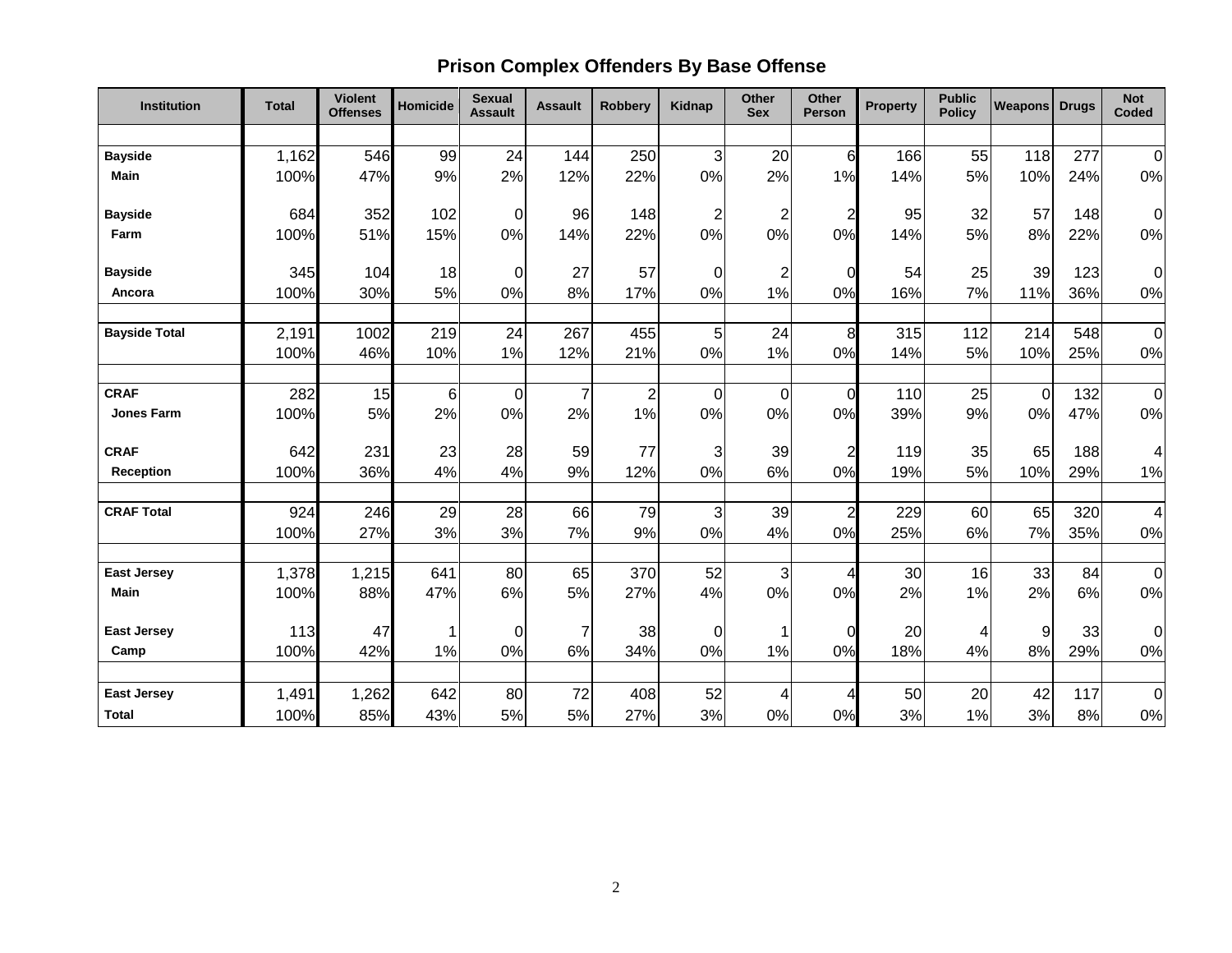# **Prison Complex Offenders By Base Offense**

| Institution          | <b>Total</b> | <b>Violent</b><br><b>Offenses</b> | Homicide | <b>Sexual</b><br><b>Assault</b> | <b>Assault</b> | <b>Robbery</b> | <b>Kidnap</b>  | <b>Other</b><br><b>Sex</b> | <b>Other</b><br>Person | <b>Property</b> | <b>Public</b><br><b>Policy</b> | <b>Weapons</b> | <b>Drugs</b> | <b>Not</b><br>Coded |
|----------------------|--------------|-----------------------------------|----------|---------------------------------|----------------|----------------|----------------|----------------------------|------------------------|-----------------|--------------------------------|----------------|--------------|---------------------|
|                      |              |                                   |          |                                 |                |                |                |                            |                        |                 |                                |                |              |                     |
| <b>Bayside</b>       | 1,162        | 546                               | 99       | 24                              | 144            | 250            | $\overline{3}$ | 20                         | $6\phantom{1}6$        | 166             | 55                             | 118            | 277          | $\mathbf 0$         |
| <b>Main</b>          | 100%         | 47%                               | 9%       | 2%                              | 12%            | 22%            | 0%             | 2%                         | 1%                     | 14%             | 5%                             | 10%            | 24%          | $0\%$               |
| <b>Bayside</b>       | 684          | 352                               | 102      | $\mathbf 0$                     | 96             | 148            | 2 <sup>1</sup> | $\overline{\mathbf{c}}$    | $\overline{2}$         | 95              | 32                             | 57             | 148          | $\boldsymbol{0}$    |
| Farm                 | 100%         | 51%                               | 15%      | 0%                              | 14%            | 22%            | 0%             | 0%                         | 0%                     | 14%             | 5%                             | 8%             | 22%          | 0%                  |
|                      |              |                                   |          |                                 |                |                |                |                            |                        |                 |                                |                |              |                     |
| <b>Bayside</b>       | 345          | 104                               | 18       | 0                               | 27             | 57             | 0              | $\overline{\mathbf{c}}$    | 0                      | 54              | 25                             | 39             | 123          | $\pmb{0}$           |
| Ancora               | 100%         | 30%                               | 5%       | 0%                              | 8%             | 17%            | 0%             | 1%                         | 0%                     | 16%             | 7%                             | 11%            | 36%          | 0%                  |
|                      |              |                                   |          |                                 |                |                |                |                            |                        |                 |                                |                |              |                     |
| <b>Bayside Total</b> | 2,191        | 1002                              | 219      | 24                              | 267            | 455            | $\sqrt{5}$     | 24                         | 8                      | 315             | 112                            | 214            | 548          | $\boldsymbol{0}$    |
|                      | 100%         | 46%                               | 10%      | 1%                              | 12%            | 21%            | 0%             | 1%                         | 0%                     | 14%             | 5%                             | 10%            | 25%          | 0%                  |
| <b>CRAF</b>          | 282          | 15                                | $\,6$    | $\mathbf 0$                     | $\overline{7}$ | $\overline{c}$ | $\mathbf 0$    | $\mathbf 0$                | $\overline{0}$         | 110             | 25                             | $\mathbf 0$    | 132          | $\mathbf 0$         |
| Jones Farm           | 100%         | 5%                                | 2%       | 0%                              | 2%             | 1%             | 0%             | 0%                         | 0%                     | 39%             | 9%                             | 0%             | 47%          | 0%                  |
| <b>CRAF</b>          | 642          | 231                               | 23       | 28                              | 59             | 77             | 3              | 39                         | $\overline{c}$         | 119             | 35                             | 65             | 188          | 4                   |
| <b>Reception</b>     | 100%         | 36%                               | 4%       | 4%                              | 9%             | 12%            | 0%             | 6%                         | 0%                     | 19%             | 5%                             | 10%            | 29%          | 1%                  |
| <b>CRAF Total</b>    |              | 246                               |          | 28                              | 66             |                |                |                            |                        |                 | 60                             | 65             | 320          | $\overline{4}$      |
|                      | 924<br>100%  | 27%                               | 29<br>3% | 3%                              | 7%             | 79<br>9%       | 3<br>0%        | 39<br>4%                   | $\overline{2}$<br>0%   | 229<br>25%      | 6%                             | 7%             | 35%          | 0%                  |
|                      |              |                                   |          |                                 |                |                |                |                            |                        |                 |                                |                |              |                     |
| <b>East Jersey</b>   | 1,378        | 1,215                             | 641      | 80                              | 65             | 370            | 52             | $\mathbf{3}$               | 4                      | 30              | 16                             | 33             | 84           | $\overline{0}$      |
| <b>Main</b>          | 100%         | 88%                               | 47%      | 6%                              | 5%             | 27%            | 4%             | 0%                         | 0%                     | 2%              | 1%                             | 2%             | 6%           | 0%                  |
| <b>East Jersey</b>   | 113          | 47                                |          | $\mathbf 0$                     | $\overline{7}$ | 38             | 0              | 1                          | $\Omega$               | 20              | 4                              | 9              | 33           | $\pmb{0}$           |
| Camp                 | 100%         | 42%                               | 1%       | 0%                              | 6%             | 34%            | 0%             | 1%                         | 0%                     | 18%             | 4%                             | 8%             | 29%          | 0%                  |
|                      |              |                                   |          |                                 |                |                |                |                            |                        |                 |                                |                |              |                     |
| <b>East Jersey</b>   | 1,491        | 1,262                             | 642      | 80                              | 72             | 408            | 52             | 4                          | 4                      | 50              | 20                             | 42             | 117          | $\overline{0}$      |
| <b>Total</b>         | 100%         | 85%                               | 43%      | 5%                              | 5%             | 27%            | 3%             | 0%                         | 0%                     | 3%              | 1%                             | 3%             | 8%           | $0\%$               |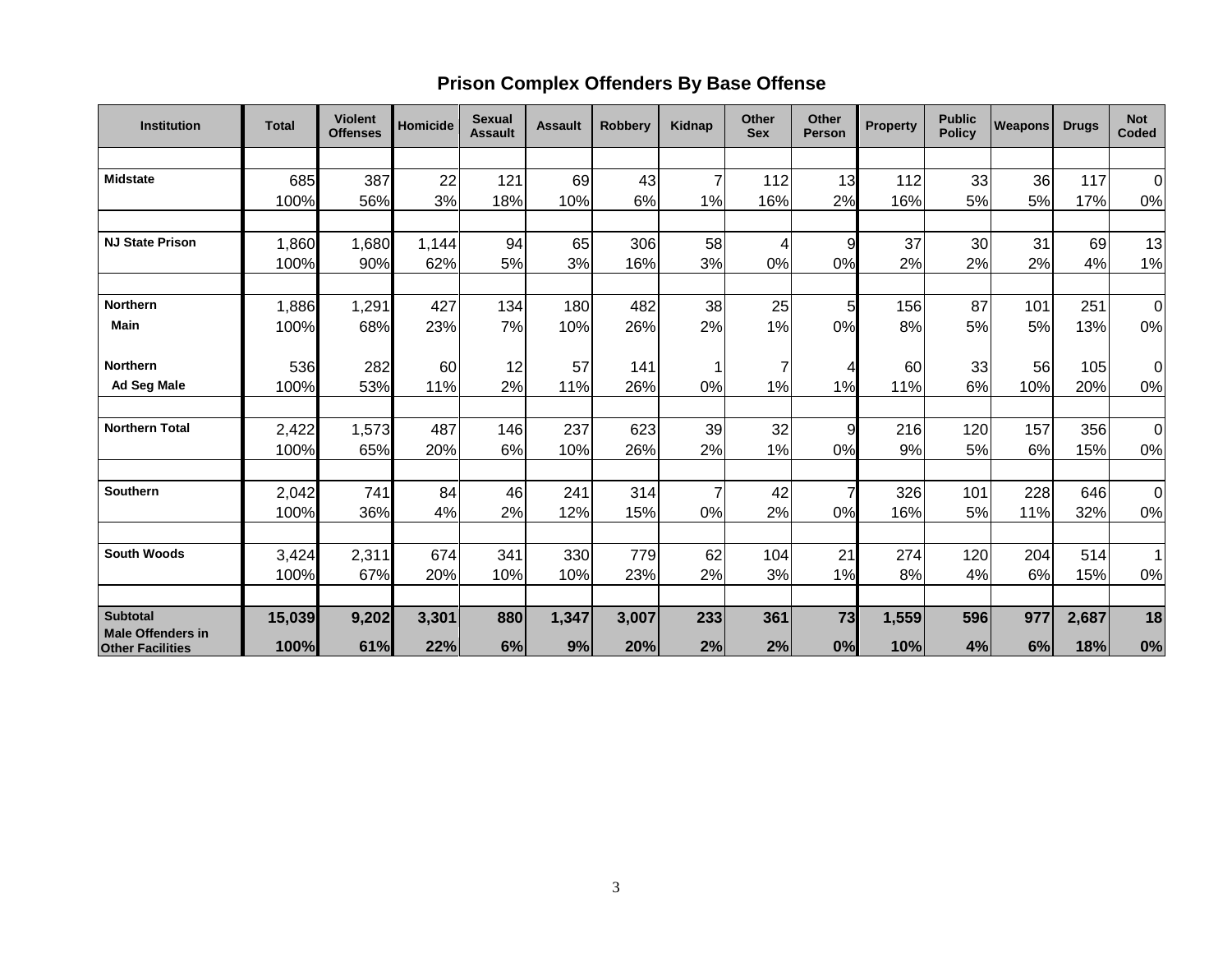## **Prison Complex Offenders By Base Offense**

| <b>Institution</b>                                  | <b>Total</b> | <b>Violent</b><br><b>Offenses</b> | <b>Homicide</b> | <b>Sexual</b><br><b>Assault</b> | <b>Assault</b> | <b>Robberv</b> | <b>Kidnap</b> | <b>Other</b><br><b>Sex</b> | <b>Other</b><br><b>Person</b> | <b>Property</b> | <b>Public</b><br><b>Policy</b> | <b>Weapons</b> | <b>Drugs</b> | <b>Not</b><br>Coded |
|-----------------------------------------------------|--------------|-----------------------------------|-----------------|---------------------------------|----------------|----------------|---------------|----------------------------|-------------------------------|-----------------|--------------------------------|----------------|--------------|---------------------|
|                                                     |              |                                   |                 |                                 |                |                |               |                            |                               |                 |                                |                |              |                     |
| <b>Midstate</b>                                     | 685          | 387                               | 22              | 121                             | 69             | 43             |               | 112                        | 13                            | 112             | 33                             | 36             | 117          | 0                   |
|                                                     | 100%         | 56%                               | 3%              | 18%                             | 10%            | 6%             | 1%            | 16%                        | 2%                            | 16%             | 5%                             | 5%             | 17%          | 0%                  |
|                                                     |              |                                   |                 |                                 |                |                |               |                            |                               |                 |                                |                |              |                     |
| <b>NJ State Prison</b>                              | 1,860        | 1,680                             | 1,144           | 94                              | 65             | 306            | 58            | 4                          | 9                             | 37              | 30                             | 31             | 69           | 13                  |
|                                                     | 100%         | 90%                               | 62%             | 5%                              | 3%             | 16%            | 3%            | 0%                         | 0%                            | 2%              | 2%                             | 2%             | 4%           | 1%                  |
|                                                     |              |                                   |                 |                                 |                |                |               |                            |                               |                 |                                |                |              |                     |
| <b>Northern</b>                                     | 1,886        | 1,291                             | 427             | 134                             | 180            | 482            | 38            | 25                         | 5                             | 156             | 87                             | 101            | 251          | $\overline{O}$      |
| <b>Main</b>                                         | 100%         | 68%                               | 23%             | 7%                              | 10%            | 26%            | 2%            | 1%                         | 0%                            | 8%              | 5%                             | 5%             | 13%          | 0%                  |
| <b>Northern</b>                                     | 536          | 282                               | 60              | 12                              | 57             | 141            |               | 7                          | 4                             | 60              | 33                             | 56             | 105          | 0                   |
| Ad Seg Male                                         | 100%         | 53%                               | 11%             | 2%                              | 11%            | 26%            | 0%            | 1%                         | 1%                            | 11%             | 6%                             | 10%            | 20%          | 0%                  |
|                                                     |              |                                   |                 |                                 |                |                |               |                            |                               |                 |                                |                |              |                     |
| <b>Northern Total</b>                               | 2,422        | 1,573                             | 487             | 146                             | 237            | 623            | 39            | 32                         | 9                             | 216             | 120                            | 157            | 356          | $\overline{0}$      |
|                                                     | 100%         | 65%                               | 20%             | 6%                              | 10%            | 26%            | 2%            | 1%                         | 0%                            | 9%              | 5%                             | 6%             | 15%          | 0%                  |
| Southern                                            |              | 741                               | 84              | 46                              | 241            | 314            | 7             | 42                         |                               | 326             | 101                            | 228            | 646          |                     |
|                                                     | 2,042        | 36%                               |                 | 2%                              |                |                |               | 2%                         | 0%                            |                 | 5%                             |                | 32%          | $\overline{O}$      |
|                                                     | 100%         |                                   | 4%              |                                 | 12%            | 15%            | 0%            |                            |                               | 16%             |                                | 11%            |              | $0\%$               |
| <b>South Woods</b>                                  | 3,424        | 2,311                             | 674             | 341                             | 330            | 779            | 62            | 104                        | 21                            | 274             | 120                            | 204            | 514          | $\mathbf 1$         |
|                                                     | 100%         | 67%                               | 20%             | 10%                             | 10%            | 23%            | 2%            | 3%                         | 1%                            | 8%              | 4%                             | 6%             | 15%          | 0%                  |
|                                                     |              |                                   |                 |                                 |                |                |               |                            |                               |                 |                                |                |              |                     |
| <b>Subtotal</b>                                     | 15,039       | 9,202                             | 3,301           | 880                             | 1,347          | 3,007          | 233           | 361                        | 73                            | 1,559           | 596                            | 977            | 2,687        | 18                  |
| <b>Male Offenders in</b><br><b>Other Facilities</b> | 100%         | 61%                               | 22%             | 6%                              | 9%             | 20%            | 2%            | 2%                         | 0%                            | 10%             | 4%                             | 6%             | 18%          | 0%                  |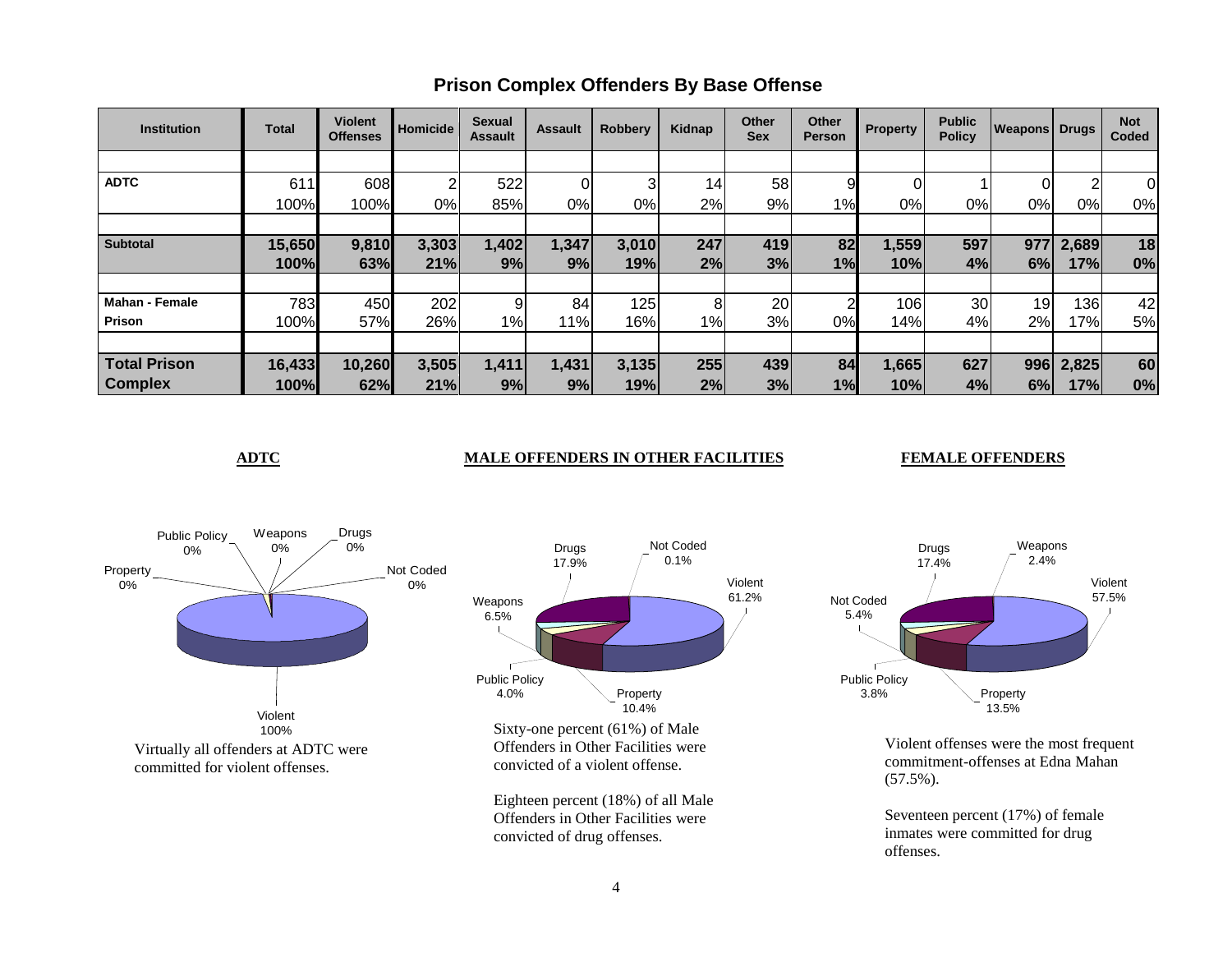| <b>Institution</b>    | <b>Total</b> | <b>Violent</b><br><b>Offenses</b> | Homicide | <b>Sexual</b><br><b>Assault</b> | <b>Assault</b> | <b>Robbery</b> | Kidnap | <b>Other</b><br><b>Sex</b> | Other<br><b>Person</b> | <b>Property</b>  | <b>Public</b><br><b>Policy</b> | <b>Weapons Drugs</b> |                | <b>Not</b><br>Coded |
|-----------------------|--------------|-----------------------------------|----------|---------------------------------|----------------|----------------|--------|----------------------------|------------------------|------------------|--------------------------------|----------------------|----------------|---------------------|
|                       |              |                                   |          |                                 |                |                |        |                            |                        |                  |                                |                      |                |                     |
| <b>ADTC</b>           | 611          | 608                               | ົ        | 522                             |                | 3              | 14     | 58                         | 9                      |                  |                                |                      | $\overline{2}$ | $\Omega$            |
|                       | 100%         | 100%                              | 0%       | 85%                             | 0%             | 0%             | 2%     | 9%                         | $1\%$                  | 0%               | 0%                             | 0%                   | $0\%$          | 0%                  |
|                       |              |                                   |          |                                 |                |                |        |                            |                        |                  |                                |                      |                |                     |
| <b>Subtotal</b>       | 15,650       | 9,810                             | 3,303    | 1,402                           | 1,347          | 3,010          | 247    | 419                        | 82                     | 1,559            | 597                            | 977                  | 2,689          | 18                  |
|                       | 100%         | 63%                               | 21%      | 9%                              | 9%             | 19%            | 2%     | 3%                         | 1%                     | 10%              | 4%                             | 6%                   | 17%            | 0%                  |
|                       |              |                                   |          |                                 |                |                |        |                            |                        |                  |                                |                      |                |                     |
| <b>Mahan - Female</b> | 783          | 450                               | 202      | 9                               | 84             | 125            | 8      | 20                         | ⌒                      | 106 <sub>1</sub> | 30                             | 19                   | 136            | 42                  |
| Prison                | 100%         | 57%                               | 26%      | $1\%$                           | 11%            | 16%            | $1\%$  | 3%                         | 0%                     | 14%              | 4%                             | 2%                   | 17%            | 5%                  |
|                       |              |                                   |          |                                 |                |                |        |                            |                        |                  |                                |                      |                |                     |
| <b>Total Prison</b>   | 16,433       | 10,260                            | 3,505    | 1,411                           | 1,431          | 3,135          | 255    | 439                        | 84                     | 1,665            | 627                            | 996                  | 2,825          | 60                  |
| <b>Complex</b>        | 100%         | 62%                               | 21%      | 9%                              | 9%             | 19%            | 2%     | 3%                         | 1%                     | 10%              | 4%                             | 6%                   | 17%            | 0%                  |

## **Prison Complex Offenders By Base Offense**

### **ADTC MALE OFFENDERS IN OTHER FACILITIES FEMALE OFFENDERS**





Violent offenses were the most frequent commitment-offenses at Edna Mahan (57.5%).

Seventeen percent (17%) of female inmates were committed for drug offenses.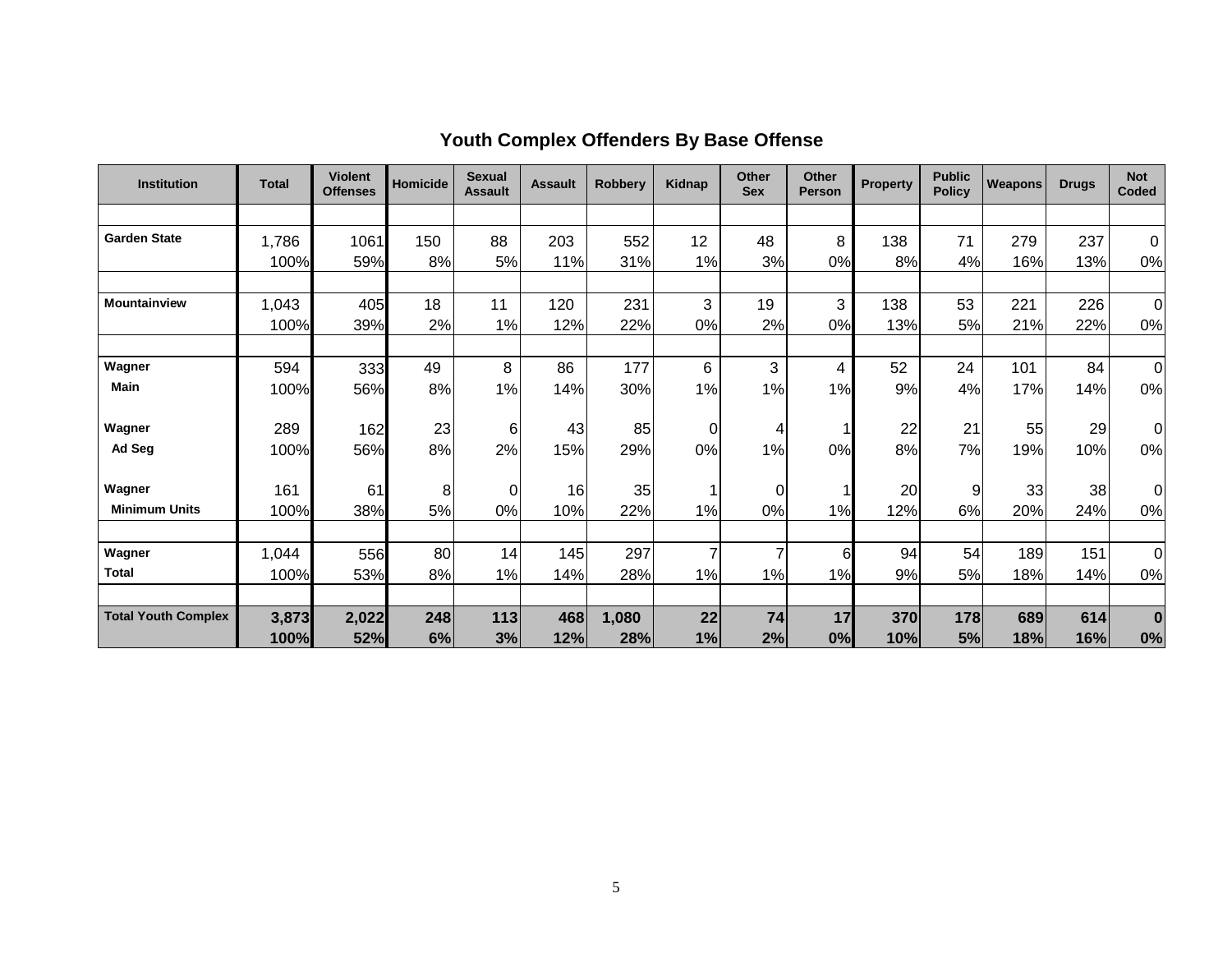| <b>Institution</b>         | <b>Total</b> | <b>Violent</b><br><b>Offenses</b> | <b>Homicide</b> | <b>Sexual</b><br><b>Assault</b> | <b>Assault</b> | <b>Robberv</b> | Kidnap | <b>Other</b><br><b>Sex</b> | <b>Other</b><br><b>Person</b> | <b>Property</b> | <b>Public</b><br><b>Policy</b> | <b>Weapons!</b> | <b>Drugs</b> | <b>Not</b><br>Coded |
|----------------------------|--------------|-----------------------------------|-----------------|---------------------------------|----------------|----------------|--------|----------------------------|-------------------------------|-----------------|--------------------------------|-----------------|--------------|---------------------|
|                            |              |                                   |                 |                                 |                |                |        |                            |                               |                 |                                |                 |              |                     |
| <b>Garden State</b>        | 1,786        | 1061                              | 150             | 88                              | 203            | 552            | 12     | 48                         | 8                             | 138             | 71                             | 279             | 237          | $\Omega$            |
|                            | 100%         | 59%                               | 8%              | 5%                              | 11%            | 31%            | 1%     | 3%                         | 0%                            | 8%              | 4%                             | 16%             | 13%          | 0%                  |
|                            |              |                                   |                 |                                 |                |                |        |                            |                               |                 |                                |                 |              |                     |
| Mountainview               | 1,043        | 405                               | 18              | 11                              | 120            | 231            | 3      | 19                         | 3                             | 138             | 53                             | 221             | 226          | $\mathbf 0$         |
|                            | 100%         | 39%                               | 2%              | 1%                              | 12%            | 22%            | 0%     | 2%                         | 0%                            | 13%             | 5%                             | 21%             | 22%          | 0%                  |
| Wagner                     | 594          | 333                               | 49              | 8                               | 86             | 177            | 6      | 3                          | 4                             | 52              | 24                             | 101             | 84           | $\mathbf 0$         |
| <b>Main</b>                | 100%         | 56%                               | 8%              | 1%                              | 14%            | 30%            | 1%     | 1%                         | 1%                            | 9%              | 4%                             | 17%             | 14%          | 0%                  |
| Wagner                     | 289          | 162                               | 23              | 6                               | 43             | 85             | 0      | 4                          |                               | 22              | 21                             | 55              | 29           | 0                   |
| Ad Seg                     | 100%         | 56%                               | 8%              | 2%                              | 15%            | 29%            | 0%     | 1%                         | 0%                            | 8%              | 7%                             | 19%             | 10%          | 0%                  |
| Wagner                     | 161          | 61                                | 8               | 0                               | 16             | 35             | 1      | 0                          |                               | 20              | 9                              | 33              | 38           | 0                   |
| <b>Minimum Units</b>       | 100%         | 38%                               | 5%              | 0%                              | 10%            | 22%            | 1%     | 0%                         | 1%                            | 12%             | 6%                             | 20%             | 24%          | 0%                  |
| Wagner                     | 1,044        | 556                               | 80              | 14                              | 145            | 297            | 7      |                            | 6                             | 94              | 54                             | 189             | 151          | 0                   |
| <b>Total</b>               | 100%         | 53%                               | 8%              | 1%                              | 14%            | 28%            | 1%     | 1%                         | 1%                            | 9%              | 5%                             | 18%             | 14%          | 0%                  |
|                            |              |                                   |                 |                                 |                |                |        |                            |                               |                 |                                |                 |              |                     |
| <b>Total Youth Complex</b> | 3,873        | 2,022                             | 248             | 113                             | 468            | 1,080          | 22     | 74                         | 17                            | 370             | 178                            | 689             | 614          | $\bf{0}$            |
|                            | 100%         | 52%                               | 6%              | 3%                              | 12%            | 28%            | 1%     | 2%                         | 0%                            | 10%             | 5%                             | 18%             | 16%          | 0%                  |

# **Youth Complex Offenders By Base Offense**